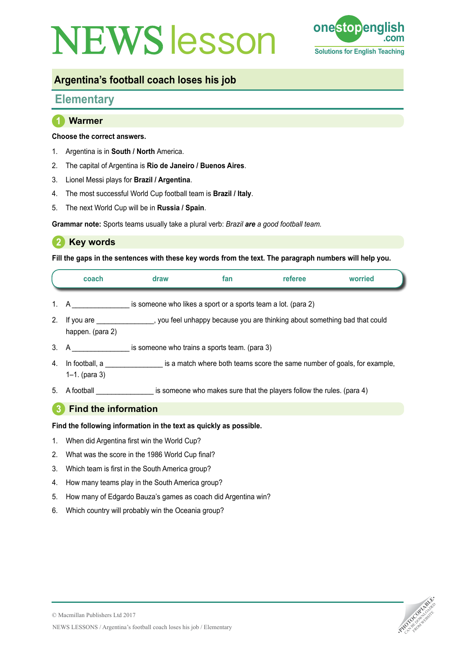# **NEWS esson one stop en**



## **Argentina's football coach loses his job**

# **Elementary**

## **1 Warmer**

#### **Choose the correct answers.**

- 1. Argentina is in **South / North** America.
- 2. The capital of Argentina is **Rio de Janeiro / Buenos Aires**.
- 3. Lionel Messi plays for **Brazil / Argentina**.
- 4. The most successful World Cup football team is **Brazil / Italy**.
- 5. The next World Cup will be in **Russia / Spain**.

**Grammar note:** Sports teams usually take a plural verb: *Brazil are a good football team.*

## **2 Key words**

**Fill the gaps in the sentences with these key words from the text. The paragraph numbers will help you.**

| coach | draw                                                          | tan | referee | worried |
|-------|---------------------------------------------------------------|-----|---------|---------|
|       | is someone who likes a sport or a sports team a lot. (para 2) |     |         |         |

- 2. If you are \_\_\_\_\_\_\_\_\_\_\_\_\_, you feel unhappy because you are thinking about something bad that could happen. (para 2)
- 3. A \_\_\_\_\_\_\_\_\_\_\_\_\_\_\_\_\_\_ is someone who trains a sports team. (para 3)
- 4. In football, a  $\blacksquare$  is a match where both teams score the same number of goals, for example, 1–1. (para 3)
- 5. A football surface is someone who makes sure that the players follow the rules. (para 4)

## **3 Find the information**

#### **Find the following information in the text as quickly as possible.**

- 1. When did Argentina first win the World Cup?
- 2. What was the score in the 1986 World Cup final?
- 3. Which team is first in the South America group?
- 4. How many teams play in the South America group?
- 5. How many of Edgardo Bauza's games as coach did Argentina win?
- 6. Which country will probably win the Oceania group?

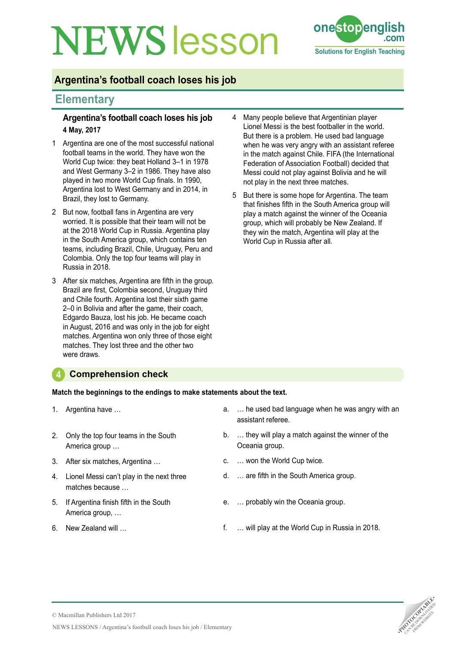# **NEWS esson one stoppeng**



## **Argentina's football coach loses his job**

## **Elementary**

#### **Argentina's football coach loses his job 4 May, 2017**

- 1 Argentina are one of the most successful national football teams in the world. They have won the World Cup twice: they beat Holland 3–1 in 1978 and West Germany 3–2 in 1986. They have also played in two more World Cup finals. In 1990, Argentina lost to West Germany and in 2014, in Brazil, they lost to Germany.
- 2 But now, football fans in Argentina are very worried. It is possible that their team will not be at the 2018 World Cup in Russia. Argentina play in the South America group, which contains ten teams, including Brazil, Chile, Uruguay, Peru and Colombia. Only the top four teams will play in Russia in 2018.
- 3 After six matches, Argentina are fifth in the group. Brazil are first, Colombia second, Uruguay third and Chile fourth. Argentina lost their sixth game 2–0 in Bolivia and after the game, their coach, Edgardo Bauza, lost his job. He became coach in August, 2016 and was only in the job for eight matches. Argentina won only three of those eight matches. They lost three and the other two were draws.
- 4 Many people believe that Argentinian player Lionel Messi is the best footballer in the world. But there is a problem. He used bad language when he was very angry with an assistant referee in the match against Chile. FIFA (the International Federation of Association Football) decided that Messi could not play against Bolivia and he will not play in the next three matches.
- 5 But there is some hope for Argentina. The team that finishes fifth in the South America group will play a match against the winner of the Oceania group, which will probably be New Zealand. If they win the match, Argentina will play at the World Cup in Russia after all.

### **4 Comprehension check**

**Match the beginnings to the endings to make statements about the text.**

- 1. Argentina have …
- 2. Only the top four teams in the South America group …
- 3. After six matches, Argentina …
- 4. Lionel Messi can't play in the next three matches because …
- 5. If Argentina finish fifth in the South America group, …
- 6. New Zealand will …
- a. … he used bad language when he was angry with an assistant referee.
- b. … they will play a match against the winner of the Oceania group.
- c. … won the World Cup twice.
- d. … are fifth in the South America group.
- e. … probably win the Oceania group.
- f. … will play at the World Cup in Russia in 2018.

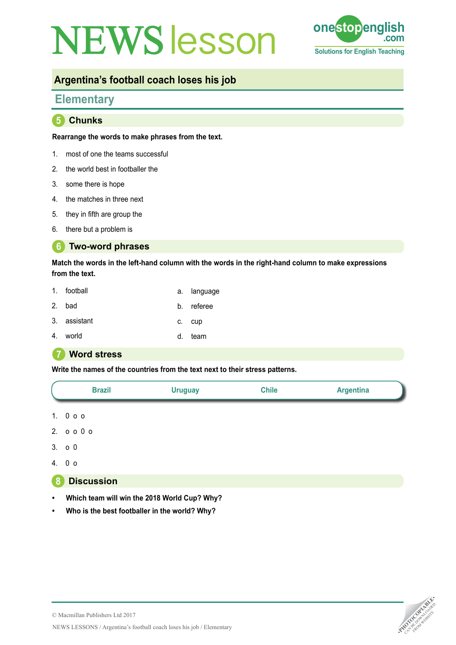# **NEWS esson one stop english** Text



## **Argentina's football coach loses his job**

## **Elementary**

**5 Chunks**

#### **Rearrange the words to make phrases from the text.**

- 1. most of one the teams successful
- 2. the world best in footballer the
- 3. some there is hope
- 4. the matches in three next
- 5. they in fifth are group the
- 6. there but a problem is

#### **6 Two-word phrases**

**Match the words in the left-hand column with the words in the right-hand column to make expressions from the text.**

| 1. football  | a. language |
|--------------|-------------|
| 2. bad       | b. referee  |
| 3. assistant | c. cup      |
| 4. world     | team        |

#### **7 Word stress**

**Write the names of the countries from the text next to their stress patterns.**



### **8 Discussion**

- **• Which team will win the 2018 World Cup? Why?**
- **• Who is the best footballer in the world? Why?**